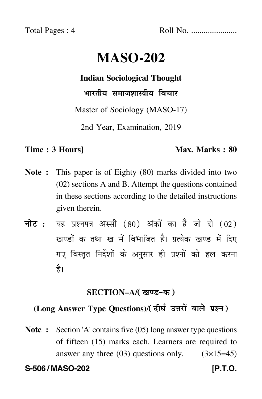Total Pages : 4 Roll No. ......................

# **MASO-202**

## **Indian Sociological Thought**

भारतीय समाजशास्त्रीय विचार

Master of Sociology (MASO-17)

2nd Year, Examination, 2019

### **Time : 3 Hours]** Max. Marks : 80

- **Note :** This paper is of Eighty (80) marks divided into two (02) sections A and B. Attempt the questions contained in these sections according to the detailed instructions given therein.
- नोट : यह प्रश्नपत्र अस्सी (80) अंकों का है जो दो (02) खण्डों क तथा ख में विभाजित है। प्रत्येक खण्ड में दिए गए विस्तृत निर्देशों के अनुसार ही प्रश्नों को हल करन<mark>ा</mark> है।

# <u>SECTION–A</u>/( खण्ड-क )

# (Long Answer Type Questions)/( दीर्घ उत्तरों वाले प्रश्न )

**Note :** Section 'A' contains five (05) long answer type questions of fifteen (15) marks each. Learners are required to answer any three  $(03)$  questions only.  $(3\times15=45)$ 

**S-506 / MASO-202 [P.T.O.**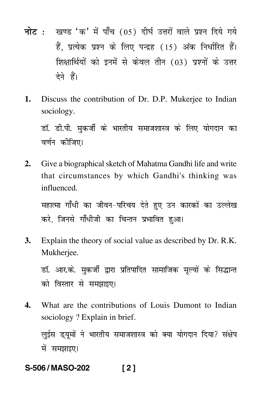- <mark>नोट</mark> : खण्ड 'क' में पाँच (05) दीर्घ उत्तरों वाले प्रश्न दिये गये हैं, प्रत्येक प्रश्न के लिए पन्द्रह (15) अंक निर्धारित हैं। शिक्षार्थियों को इनमें से केवल तीन (03) प्रश्नों के उत्तर देने हैं।
- **1.** Discuss the contribution of Dr. D.P. Mukerjee to Indian sociology.

डॉ. डी.पी. मुकर्जी के भारतीय समाजशास्त्र के लिए योगदान क ---वर्णन कीजिए।

**2.** Give a biographical sketch of Mahatma Gandhi life and write that circumstances by which Gandhi's thinking was influenced.

महात्मा गाँधी का जीवन–परिचय देते हुए उन कारकों का उल्लेख ----करे, जिनसे गाँधीजी का चिन्तन प्रभावित हुआ। --

**3.** Explain the theory of social value as described by Dr. R.K. Mukherjee.

डॉ. आर.के. मुकर्जी द्वारा प्रतिपादित सामाजिक मूल्यों के सिद्धान्त को विस्तार से समझाइए।  $\mathfrak{f}$ 

**4.** What are the contributions of Louis Dumont to Indian sociology ? Explain in brief.

लुईस ड्यूमों ने भारतीय समाजशास्त्र को क्या योगदान दिया? संक्षेप -- $\dagger$ में समझाइए।

**S-506 / MASO-202 [ 2 ]**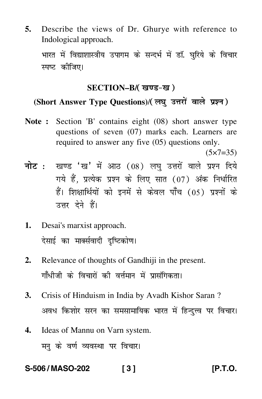**5.** Describe the views of Dr. Ghurye with reference to Indological approach.

भारत में विद्याशास्त्रीय उपागम के सन्दर्भ में डॉ. घुरिये के विचार --स्पष्ट कीजिए।

# SECTION–B/( खण्ड-ख )

# (Short Answer Type Questions)/(लघु उत्तरों वाले प्रश्न)

**Note :** Section 'B' contains eight (08) short answer type questions of seven (07) marks each. Learners are required to answer any five (05) questions only.

 $(5 \times 7 = 35)$ 

- <mark>नोट</mark> : खण्ड 'ख' में आठ (08) लघु उत्तरों वाले प्रश्न दिये गये हैं, प्रत्येक प्रश्न के लिए सात (07) अंक निर्धारित हैं। शिक्षार्थियों को इनमें से केवल पाँच (05) प्रश्नों के उत्तर देने हैं।
- **1.** Desai's marxist approach. देसाई का मार्क्सवादी दृष्टिकोण। --
- **2.** Relevance of thoughts of Gandhiji in the present. गाँधीजी के विचारों की वर्त्तमान में प्रासंगिकता।
- **3.** Crisis of Hinduism in India by Avadh Kishor Saran ? अवध किशोर सरन का समसामायिक भारत में हिन्दुत्त्व पर विचार।  $\mathfrak{f}$ --
- **4.** Ideas of Mannu on Varn system. मनु के वर्ण व्यवस्था पर विचार। -

### **S-506 / MASO-202 [ 3 ] [P.T.O.**